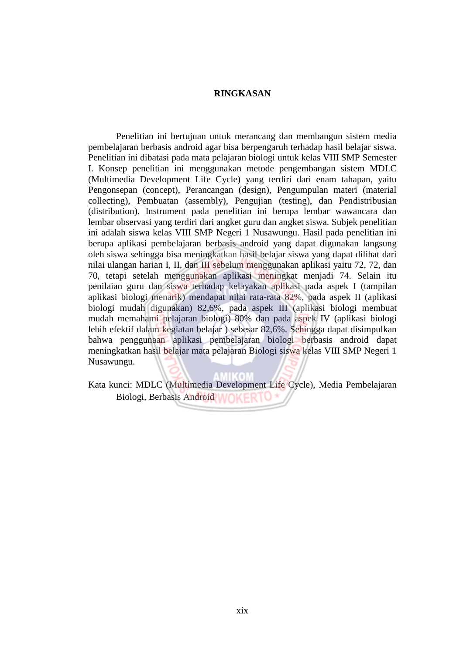## **RINGKASAN**

Penelitian ini bertujuan untuk merancang dan membangun sistem media pembelajaran berbasis android agar bisa berpengaruh terhadap hasil belajar siswa. Penelitian ini dibatasi pada mata pelajaran biologi untuk kelas VIII SMP Semester I. Konsep penelitian ini menggunakan metode pengembangan sistem MDLC (Multimedia Development Life Cycle) yang terdiri dari enam tahapan, yaitu Pengonsepan (concept), Perancangan (design), Pengumpulan materi (material collecting), Pembuatan (assembly), Pengujian (testing), dan Pendistribusian (distribution). Instrument pada penelitian ini berupa lembar wawancara dan lembar observasi yang terdiri dari angket guru dan angket siswa. Subjek penelitian ini adalah siswa kelas VIII SMP Negeri 1 Nusawungu. Hasil pada penelitian ini berupa aplikasi pembelajaran berbasis android yang dapat digunakan langsung oleh siswa sehingga bisa meningkatkan hasil belajar siswa yang dapat dilihat dari nilai ulangan harian I, II, dan III sebelum menggunakan aplikasi yaitu 72, 72, dan 70, tetapi setelah menggunakan aplikasi meningkat menjadi 74. Selain itu penilaian guru dan siswa terhadap kelayakan aplikasi pada aspek I (tampilan aplikasi biologi menarik) mendapat nilai rata-rata 82%, pada aspek II (aplikasi biologi mudah digunakan) 82,6%, pada aspek III (aplikasi biologi membuat mudah memahami pelajaran biologi) 80% dan pada aspek IV (aplikasi biologi lebih efektif dalam kegiatan belajar ) sebesar 82,6%. Sehingga dapat disimpulkan bahwa penggunaan aplikasi pembelajaran biologi berbasis android dapat meningkatkan hasil belajar mata pelajaran Biologi siswa kelas VIII SMP Negeri 1 Nusawungu.

Kata kunci: MDLC (Multimedia Development Life Cycle), Media Pembelajaran Biologi, Berbasis Android **WOKER**